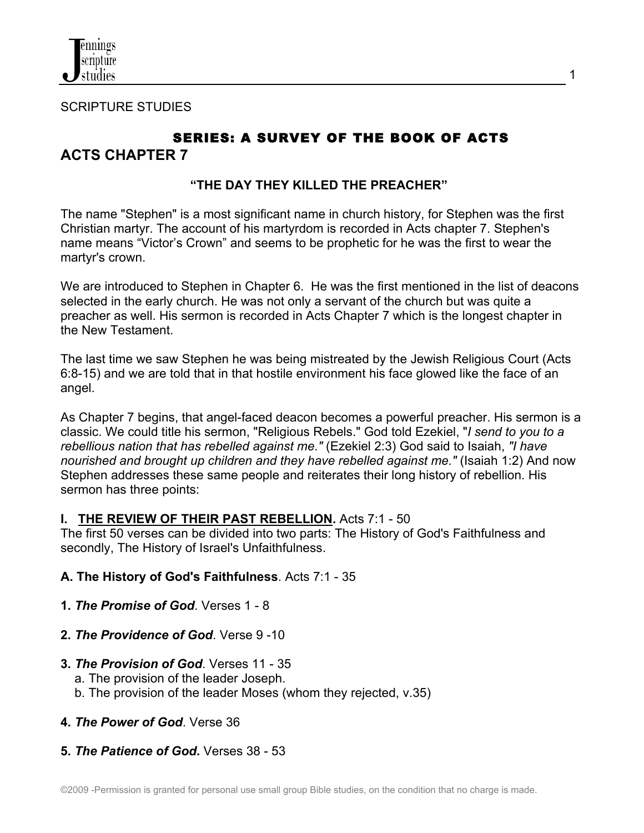

SCRIPTURE STUDIES

# **SERIES: A SURVEY OF THE BOOK OF ACTS ACTS CHAPTER 7**

### **"THE DAY THEY KILLED THE PREACHER"**

The name "Stephen" is a most significant name in church history, for Stephen was the first Christian martyr. The account of his martyrdom is recorded in Acts chapter 7. Stephen's name means "Victor's Crown" and seems to be prophetic for he was the first to wear the martyr's crown.

We are introduced to Stephen in Chapter 6. He was the first mentioned in the list of deacons selected in the early church. He was not only a servant of the church but was quite a preacher as well. His sermon is recorded in Acts Chapter 7 which is the longest chapter in the New Testament.

The last time we saw Stephen he was being mistreated by the Jewish Religious Court (Acts 6:8-15) and we are told that in that hostile environment his face glowed like the face of an angel.

As Chapter 7 begins, that angel-faced deacon becomes a powerful preacher. His sermon is a classic. We could title his sermon, "Religious Rebels." God told Ezekiel, "*I send to you to a rebellious nation that has rebelled against me."* (Ezekiel 2:3) God said to Isaiah, *"I have nourished and brought up children and they have rebelled against me."* (Isaiah 1:2) And now Stephen addresses these same people and reiterates their long history of rebellion. His sermon has three points:

#### **I. THE REVIEW OF THEIR PAST REBELLION.** Acts 7:1 - 50

The first 50 verses can be divided into two parts: The History of God's Faithfulness and secondly, The History of Israel's Unfaithfulness.

### **A. The History of God's Faithfulness**. Acts 7:1 - 35

- **1.** *The Promise of God*. Verses 1 8
- **2.** *The Providence of God*. Verse 9 -10
- **3.** *The Provision of God*. Verses 11 35
	- a. The provision of the leader Joseph.
	- b. The provision of the leader Moses (whom they rejected, v.35)
- **4.** *The Power of God*. Verse 36
- **5.** *The Patience of God***.** Verses 38 53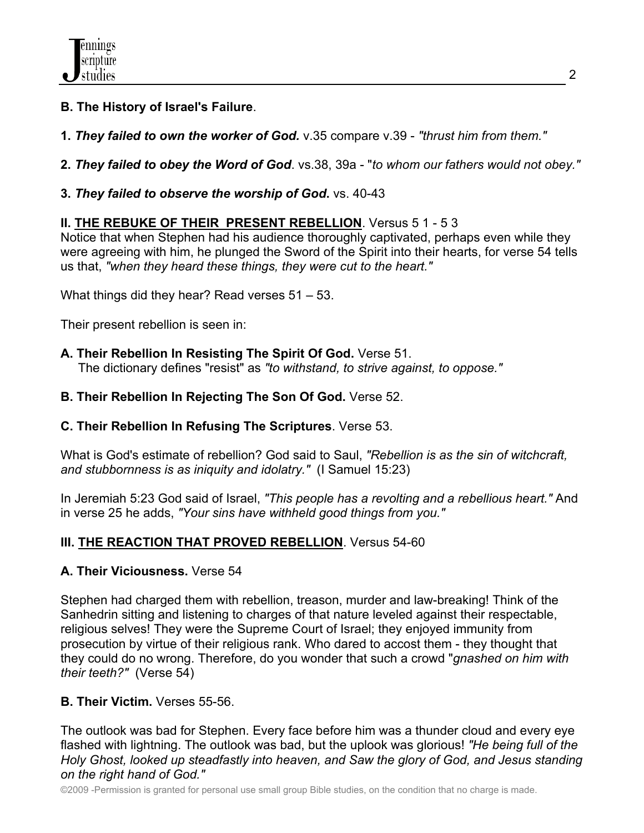## **B. The History of Israel's Failure**.

- **1.** *They failed to own the worker of God.* v.35 compare v.39 *"thrust him from them."*
- **2.** *They failed to obey the Word of God*. vs.38, 39a "*to whom our fathers would not obey."*
- **3.** *They failed to observe the worship of God***.** vs. 40-43

### **II. THE REBUKE OF THEIR PRESENT REBELLION**. Versus 5 1 - 5 3

Notice that when Stephen had his audience thoroughly captivated, perhaps even while they were agreeing with him, he plunged the Sword of the Spirit into their hearts, for verse 54 tells us that, *"when they heard these things, they were cut to the heart."*

What things did they hear? Read verses 51 – 53.

Their present rebellion is seen in:

**A. Their Rebellion In Resisting The Spirit Of God.** Verse 51.

The dictionary defines "resist" as *"to withstand, to strive against, to oppose."*

### **B. Their Rebellion In Rejecting The Son Of God.** Verse 52.

### **C. Their Rebellion In Refusing The Scriptures**. Verse 53.

What is God's estimate of rebellion? God said to Saul, *"Rebellion is as the sin of witchcraft, and stubbornness is as iniquity and idolatry."* (I Samuel 15:23)

In Jeremiah 5:23 God said of Israel, *"This people has a revolting and a rebellious heart."* And in verse 25 he adds, *"Your sins have withheld good things from you."*

## **III. THE REACTION THAT PROVED REBELLION**. Versus 54-60

## **A. Their Viciousness.** Verse 54

Stephen had charged them with rebellion, treason, murder and law-breaking! Think of the Sanhedrin sitting and listening to charges of that nature leveled against their respectable, religious selves! They were the Supreme Court of Israel; they enjoyed immunity from prosecution by virtue of their religious rank. Who dared to accost them - they thought that they could do no wrong. Therefore, do you wonder that such a crowd "*gnashed on him with their teeth?"* (Verse 54)

## **B. Their Victim.** Verses 55-56.

The outlook was bad for Stephen. Every face before him was a thunder cloud and every eye flashed with lightning. The outlook was bad, but the uplook was glorious! *"He being full of the Holy Ghost, looked up steadfastly into heaven, and Saw the glory of God, and Jesus standing on the right hand of God."*